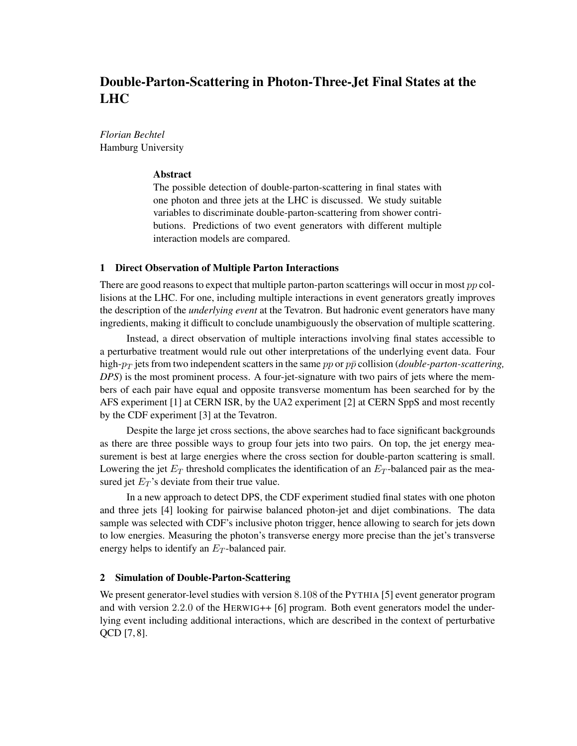# Double-Parton-Scattering in Photon-Three-Jet Final States at the LHC

*Florian Bechtel* Hamburg University

## Abstract

The possible detection of double-parton-scattering in final states with one photon and three jets at the LHC is discussed. We study suitable variables to discriminate double-parton-scattering from shower contributions. Predictions of two event generators with different multiple interaction models are compared.

## 1 Direct Observation of Multiple Parton Interactions

There are good reasons to expect that multiple parton-parton scatterings will occur in most  $pp$  collisions at the LHC. For one, including multiple interactions in event generators greatly improves the description of the *underlying event* at the Tevatron. But hadronic event generators have many ingredients, making it difficult to conclude unambiguously the observation of multiple scattering.

Instead, a direct observation of multiple interactions involving final states accessible to a perturbative treatment would rule out other interpretations of the underlying event data. Four high- $p_T$  jets from two independent scatters in the same  $pp$  or  $p\bar{p}$  collision (*double-parton-scattering*, *DPS*) is the most prominent process. A four-jet-signature with two pairs of jets where the members of each pair have equal and opposite transverse momentum has been searched for by the AFS experiment [1] at CERN ISR, by the UA2 experiment [2] at CERN SppS and most recently by the CDF experiment [3] at the Tevatron.

Despite the large jet cross sections, the above searches had to face significant backgrounds as there are three possible ways to group four jets into two pairs. On top, the jet energy measurement is best at large energies where the cross section for double-parton scattering is small. Lowering the jet  $E_T$  threshold complicates the identification of an  $E_T$ -balanced pair as the measured jet  $E_T$ 's deviate from their true value.

In a new approach to detect DPS, the CDF experiment studied final states with one photon and three jets [4] looking for pairwise balanced photon-jet and dijet combinations. The data sample was selected with CDF's inclusive photon trigger, hence allowing to search for jets down to low energies. Measuring the photon's transverse energy more precise than the jet's transverse energy helps to identify an  $E_T$ -balanced pair.

# 2 Simulation of Double-Parton-Scattering

We present generator-level studies with version 8.108 of the PYTHIA [5] event generator program and with version 2.2.0 of the HERWIG++ [6] program. Both event generators model the underlying event including additional interactions, which are described in the context of perturbative QCD [7, 8].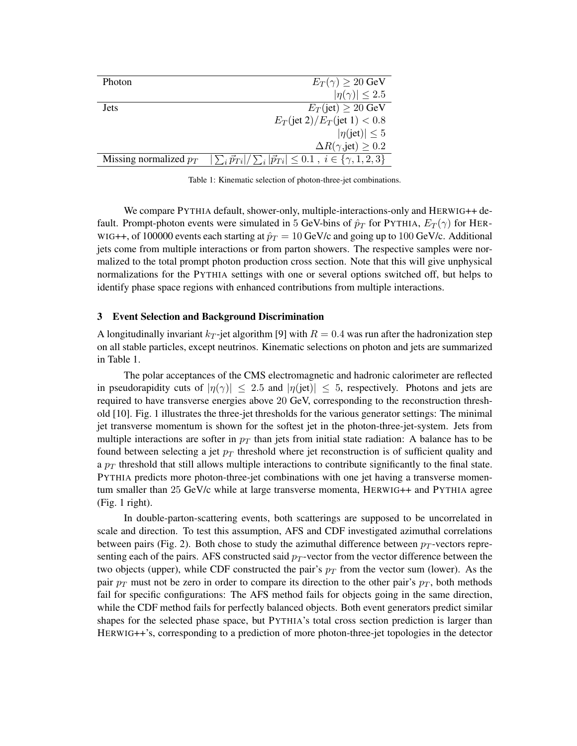| Photon                   | $E_T(\gamma) \geq 20$ GeV                                                                |
|--------------------------|------------------------------------------------------------------------------------------|
|                          | $ \eta(\gamma)  \leq 2.5$                                                                |
| <b>Jets</b>              | $E_T$ (jet) $\geq 20$ GeV                                                                |
|                          | $E_T(\text{jet } 2)/E_T(\text{jet } 1) < 0.8$                                            |
|                          | $ \eta(\text{jet})  \leq 5$                                                              |
|                          | $\Delta R(\gamma, \text{jet}) \geq 0.2$                                                  |
| Missing normalized $p_T$ | $ \sum_{i} \vec{p}_{Ti} /\sum_{i}  \vec{p}_{Ti}  \leq 0.1$ , $i \in \{\gamma, 1, 2, 3\}$ |
|                          |                                                                                          |

Table 1: Kinematic selection of photon-three-jet combinations.

We compare PYTHIA default, shower-only, multiple-interactions-only and HERWIG++ default. Prompt-photon events were simulated in 5 GeV-bins of  $\hat{p}_T$  for PYTHIA,  $E_T(\gamma)$  for HER-WIG++, of 100000 events each starting at  $\hat{p}_T = 10$  GeV/c and going up to 100 GeV/c. Additional jets come from multiple interactions or from parton showers. The respective samples were normalized to the total prompt photon production cross section. Note that this will give unphysical normalizations for the PYTHIA settings with one or several options switched off, but helps to identify phase space regions with enhanced contributions from multiple interactions.

## 3 Event Selection and Background Discrimination

A longitudinally invariant  $k_T$ -jet algorithm [9] with  $R = 0.4$  was run after the hadronization step on all stable particles, except neutrinos. Kinematic selections on photon and jets are summarized in Table 1.

The polar acceptances of the CMS electromagnetic and hadronic calorimeter are reflected in pseudorapidity cuts of  $|\eta(\gamma)| \le 2.5$  and  $|\eta(\text{jet})| \le 5$ , respectively. Photons and jets are required to have transverse energies above 20 GeV, corresponding to the reconstruction threshold [10]. Fig. 1 illustrates the three-jet thresholds for the various generator settings: The minimal jet transverse momentum is shown for the softest jet in the photon-three-jet-system. Jets from multiple interactions are softer in  $p_T$  than jets from initial state radiation: A balance has to be found between selecting a jet  $p_T$  threshold where jet reconstruction is of sufficient quality and a  $p_T$  threshold that still allows multiple interactions to contribute significantly to the final state. PYTHIA predicts more photon-three-jet combinations with one jet having a transverse momentum smaller than 25 GeV/c while at large transverse momenta, HERWIG++ and PYTHIA agree (Fig. 1 right).

In double-parton-scattering events, both scatterings are supposed to be uncorrelated in scale and direction. To test this assumption, AFS and CDF investigated azimuthal correlations between pairs (Fig. 2). Both chose to study the azimuthal difference between  $p_T$ -vectors representing each of the pairs. AFS constructed said  $p_T$ -vector from the vector difference between the two objects (upper), while CDF constructed the pair's  $p_T$  from the vector sum (lower). As the pair  $p_T$  must not be zero in order to compare its direction to the other pair's  $p_T$ , both methods fail for specific configurations: The AFS method fails for objects going in the same direction, while the CDF method fails for perfectly balanced objects. Both event generators predict similar shapes for the selected phase space, but PYTHIA's total cross section prediction is larger than HERWIG++'s, corresponding to a prediction of more photon-three-jet topologies in the detector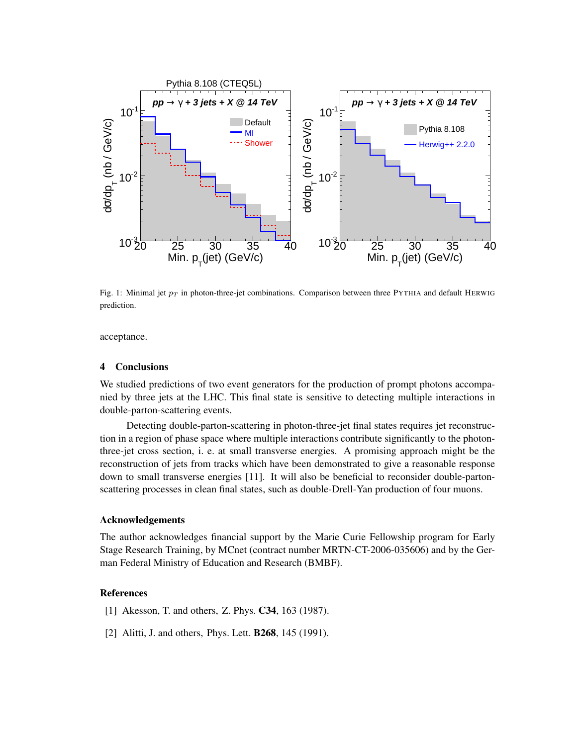

Fig. 1: Minimal jet  $p_T$  in photon-three-jet combinations. Comparison between three PYTHIA and default HERWIG prediction.

acceptance.

## 4 Conclusions

We studied predictions of two event generators for the production of prompt photons accompanied by three jets at the LHC. This final state is sensitive to detecting multiple interactions in double-parton-scattering events.

Detecting double-parton-scattering in photon-three-jet final states requires jet reconstruction in a region of phase space where multiple interactions contribute significantly to the photonthree-jet cross section, i. e. at small transverse energies. A promising approach might be the reconstruction of jets from tracks which have been demonstrated to give a reasonable response down to small transverse energies [11]. It will also be beneficial to reconsider double-partonscattering processes in clean final states, such as double-Drell-Yan production of four muons.

# Acknowledgements

The author acknowledges financial support by the Marie Curie Fellowship program for Early Stage Research Training, by MCnet (contract number MRTN-CT-2006-035606) and by the German Federal Ministry of Education and Research (BMBF).

#### References

- [1] Akesson, T. and others, Z. Phys. **C34**, 163 (1987).
- [2] Alitti, J. and others, Phys. Lett. **B268**, 145 (1991).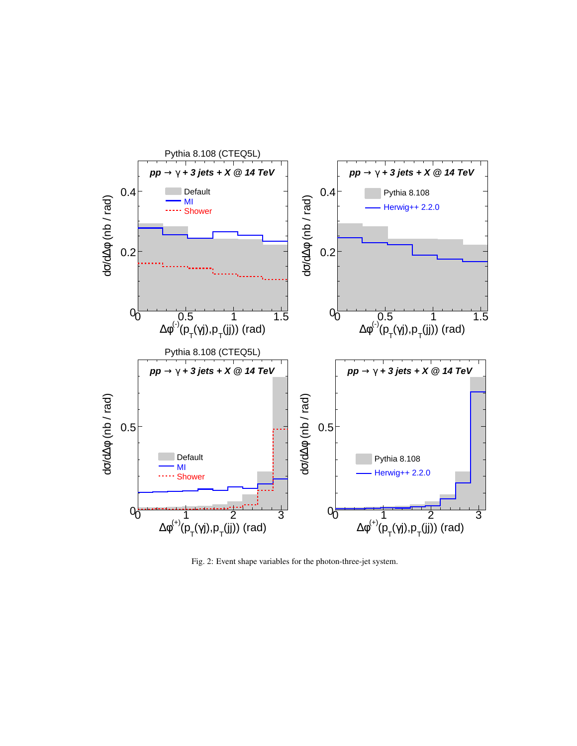

Fig. 2: Event shape variables for the photon-three-jet system.